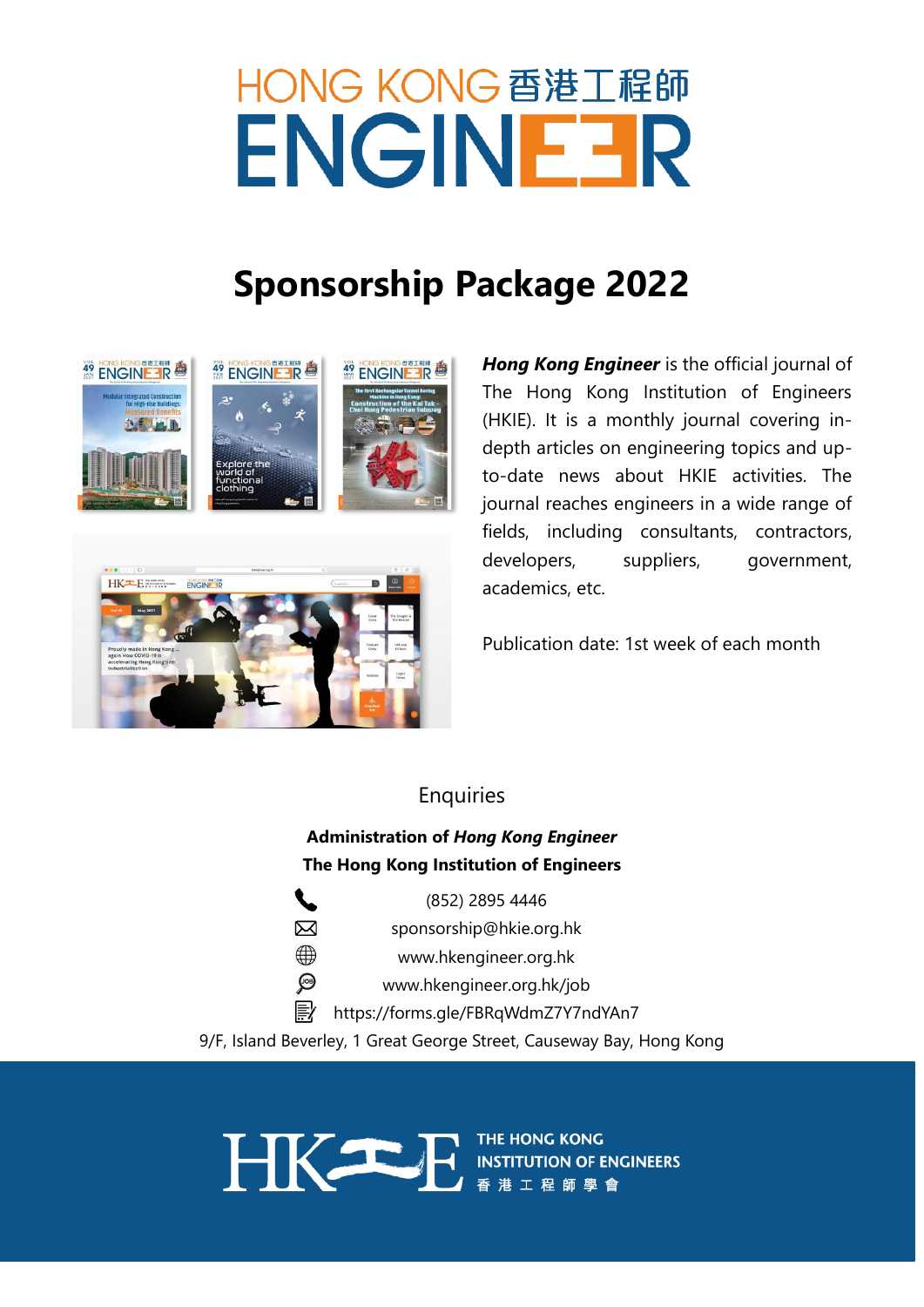# HONG KONG 香港工程師 ENGINEER

# **Sponsorship Package 2022**





*Hong Kong Engineer* is the official journal of The Hong Kong Institution of Engineers (HKIE). It is a monthly journal covering indepth articles on engineering topics and upto-date news about HKIE activities. The journal reaches engineers in a wide range of fields, including consultants, contractors, developers, suppliers, government, academics, etc.

Publication date: 1st week of each month

# **Enquiries**

# **Administration of** *Hong Kong Engineer* **The Hong Kong Institution of Engineers**

(852) 2895 4446 ⊠ sponsorship@hkie.org.hk  $\oplus$ [www.hkengineer.org.hk](http://www.hkengineer.org.hk/)  $\odot$ [www.hkengineer.org.hk/job](http://www.hkengineer.org.hk/job) E https://forms.gle/FBRqWdmZ7Y7ndYAn7

9/F, Island Beverley, 1 Great George Street, Causeway Bay, Hong Kong

THE HONG KONG<br>
INSTITUTION OF ENGINEERS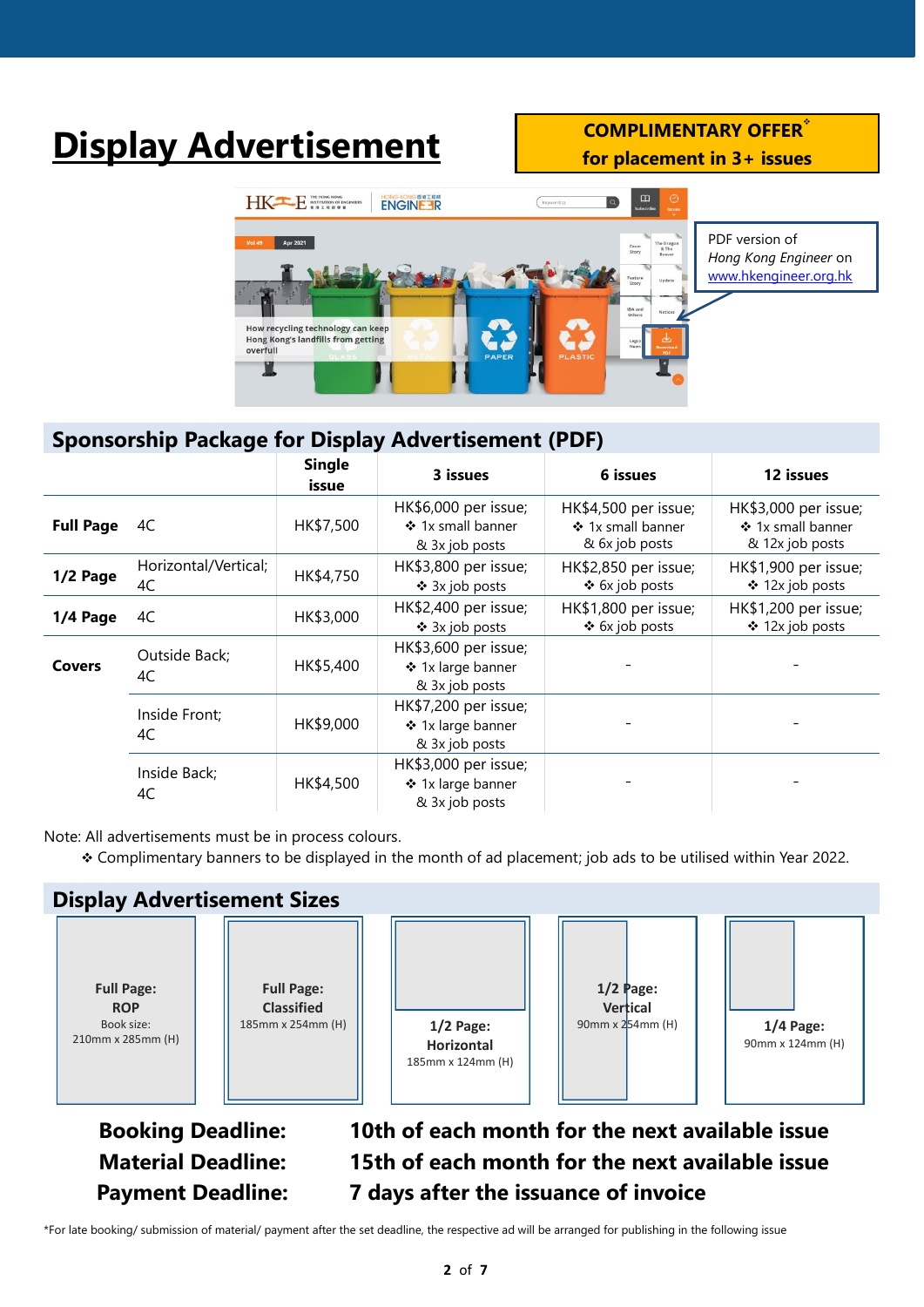# **Display Advertisement COMPLIMENTARY OFFER**

**for placement in 3+ issues**



# **Sponsorship Package for Display Advertisement (PDF)**

|                  |                            | <b>Single</b><br>issue | 3 issues                                                    | 6 issues                                                    | 12 issues                                                    |
|------------------|----------------------------|------------------------|-------------------------------------------------------------|-------------------------------------------------------------|--------------------------------------------------------------|
| <b>Full Page</b> | 4C                         | HK\$7,500              | HK\$6,000 per issue;<br>❖ 1x small banner<br>& 3x job posts | HK\$4,500 per issue;<br>❖ 1x small banner<br>& 6x job posts | HK\$3,000 per issue;<br>❖ 1x small banner<br>& 12x job posts |
| 1/2 Page         | Horizontal/Vertical;<br>4C | HK\$4,750              | HK\$3,800 per issue;<br>❖ 3x job posts                      | HK\$2,850 per issue;<br>❖ 6x job posts                      | HK\$1,900 per issue;<br>❖ 12x job posts                      |
| 1/4 Page         | 4C                         | HK\$3,000              | HK\$2,400 per issue;<br>❖ 3x job posts                      | HK\$1,800 per issue;<br>❖ 6x job posts                      | HK\$1,200 per issue;<br>❖ 12x job posts                      |
| <b>Covers</b>    | Outside Back;<br>4C        | HK\$5,400              | HK\$3,600 per issue;<br>❖ 1x large banner<br>& 3x job posts |                                                             |                                                              |
|                  | Inside Front;<br>4C        | HK\$9,000              | HK\$7,200 per issue;<br>❖ 1x large banner<br>& 3x job posts |                                                             |                                                              |
|                  | Inside Back;<br>4C         | HK\$4,500              | HK\$3,000 per issue;<br>❖ 1x large banner<br>& 3x job posts |                                                             |                                                              |

Note: All advertisements must be in process colours.

❖ Complimentary banners to be displayed in the month of ad placement; job ads to be utilised within Year 2022.



**Material Deadline: 15th of each month for the next available issue Payment Deadline: 7 days after the issuance of invoice**

\*For late booking/ submission of material/ payment after the set deadline, the respective ad will be arranged for publishing in the following issue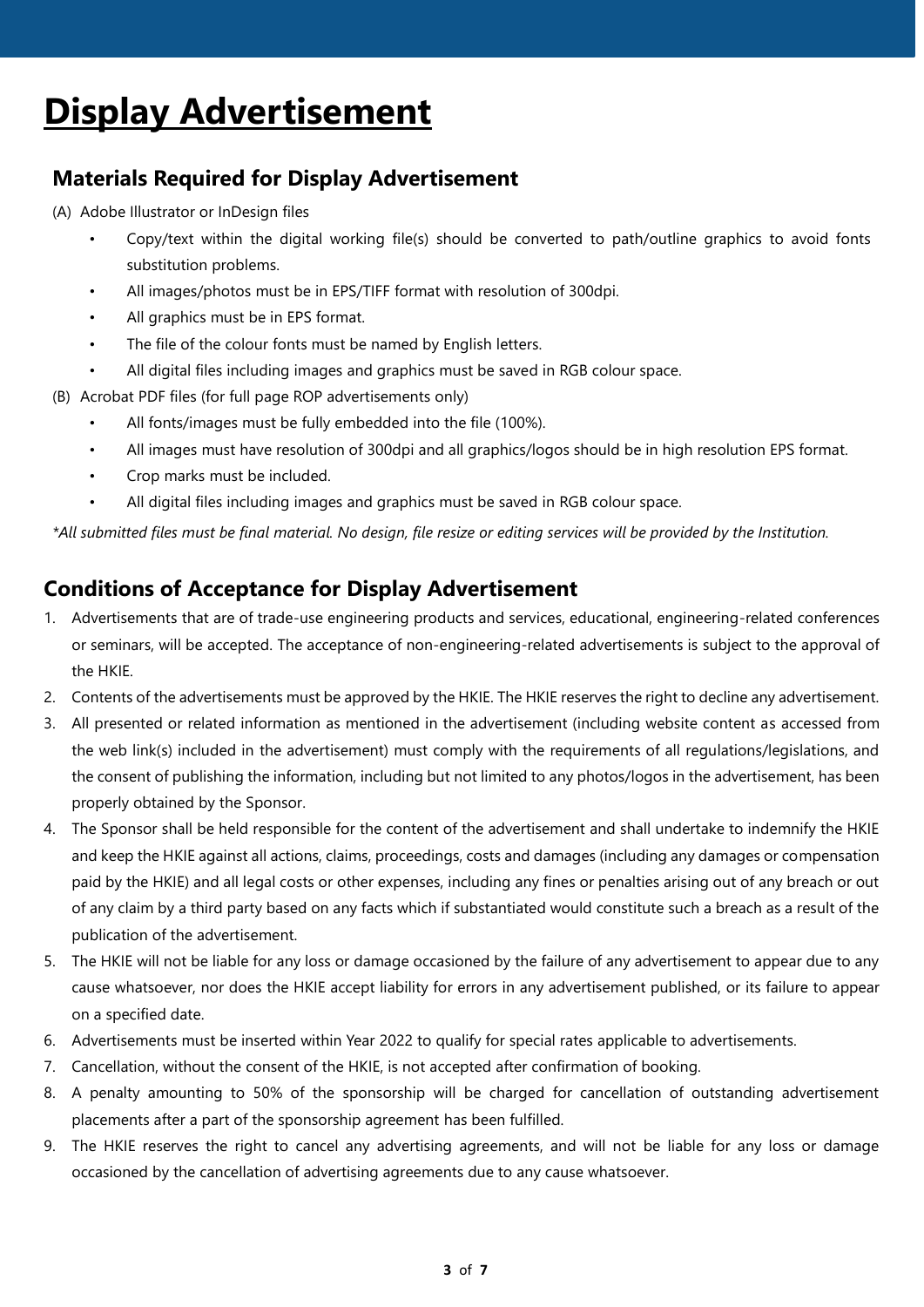# **Display Advertisement**

# **Materials Required for Display Advertisement**

(A) Adobe Illustrator or InDesign files

- Copy/text within the digital working file(s) should be converted to path/outline graphics to avoid fonts substitution problems.
- All images/photos must be in EPS/TIFF format with resolution of 300dpi.
- All graphics must be in EPS format.
- The file of the colour fonts must be named by English letters.
- All digital files including images and graphics must be saved in RGB colour space.
- (B) Acrobat PDF files (for full page ROP advertisements only)
	- All fonts/images must be fully embedded into the file (100%).
	- All images must have resolution of 300dpi and all graphics/logos should be in high resolution EPS format.
	- Crop marks must be included.
	- All digital files including images and graphics must be saved in RGB colour space.

*\*All submitted files must be final material. No design, file resize or editing services will be provided by the Institution.*

# **Conditions of Acceptance for Display Advertisement**

- 1. Advertisements that are of trade-use engineering products and services, educational, engineering-related conferences or seminars, will be accepted. The acceptance of non-engineering-related advertisements is subject to the approval of the HKIE.
- 2. Contents of the advertisements must be approved by the HKIE. The HKIE reserves the right to decline any advertisement.
- 3. All presented or related information as mentioned in the advertisement (including website content as accessed from the web link(s) included in the advertisement) must comply with the requirements of all regulations/legislations, and the consent of publishing the information, including but not limited to any photos/logos in the advertisement, has been properly obtained by the Sponsor.
- 4. The Sponsor shall be held responsible for the content of the advertisement and shall undertake to indemnify the HKIE and keep the HKIE against all actions, claims, proceedings, costs and damages (including any damages or compensation paid by the HKIE) and all legal costs or other expenses, including any fines or penalties arising out of any breach or out of any claim by a third party based on any facts which if substantiated would constitute such a breach as a result of the publication of the advertisement.
- 5. The HKIE will not be liable for any loss or damage occasioned by the failure of any advertisement to appear due to any cause whatsoever, nor does the HKIE accept liability for errors in any advertisement published, or its failure to appear on a specified date.
- 6. Advertisements must be inserted within Year 2022 to qualify for special rates applicable to advertisements.
- 7. Cancellation, without the consent of the HKIE, is not accepted after confirmation of booking.
- 8. A penalty amounting to 50% of the sponsorship will be charged for cancellation of outstanding advertisement placements after a part of the sponsorship agreement has been fulfilled.
- 9. The HKIE reserves the right to cancel any advertising agreements, and will not be liable for any loss or damage occasioned by the cancellation of advertising agreements due to any cause whatsoever.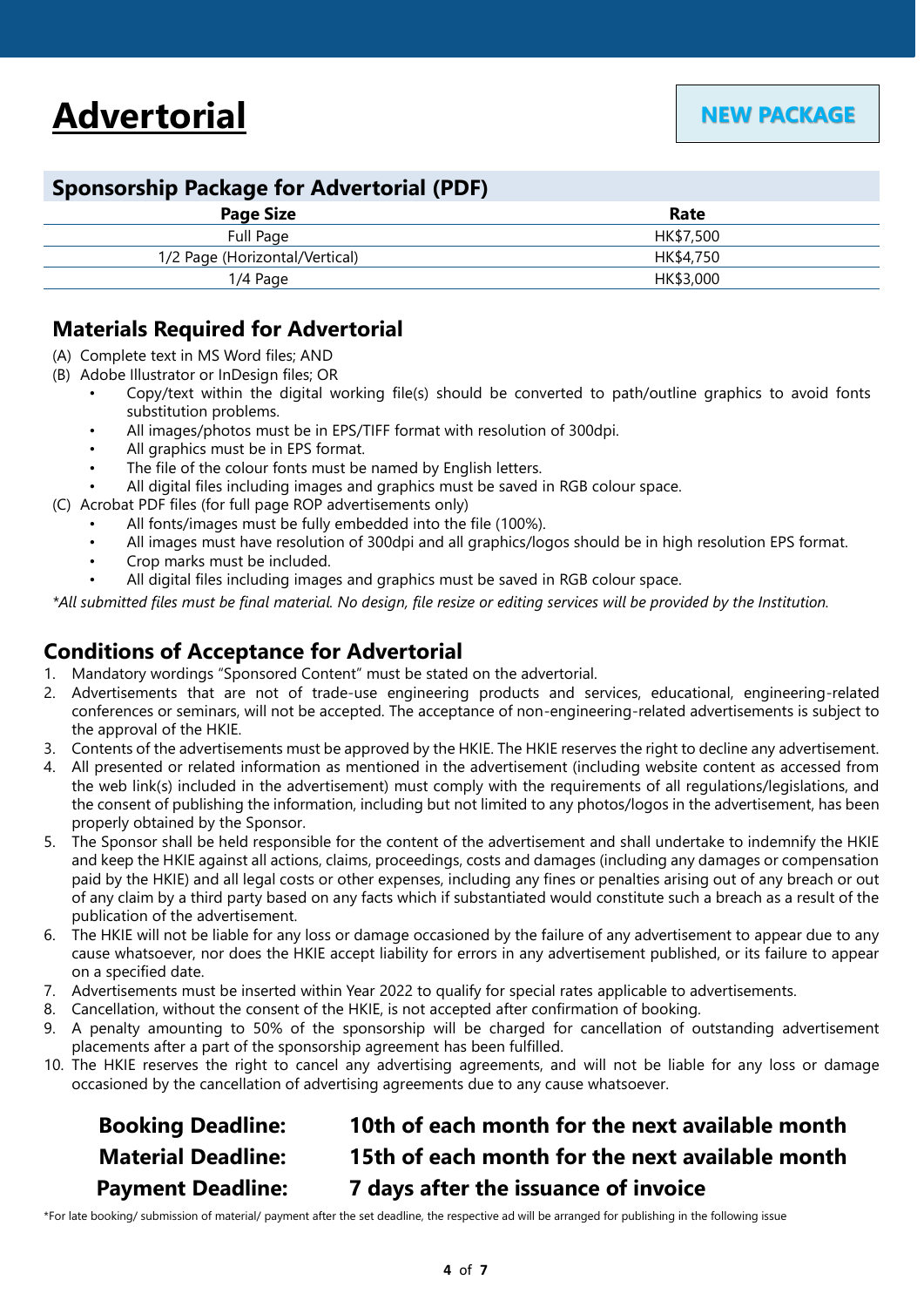## **Sponsorship Package for Advertorial (PDF)**

| -                              |           |  |
|--------------------------------|-----------|--|
| <b>Page Size</b>               | Rate      |  |
| Full Page                      | HK\$7,500 |  |
| 1/2 Page (Horizontal/Vertical) | HK\$4,750 |  |
| $1/4$ Page                     | HK\$3,000 |  |
|                                |           |  |

## **Materials Required for Advertorial**

- (A) Complete text in MS Word files; AND
- (B) Adobe Illustrator or InDesign files; OR
	- Copy/text within the digital working file(s) should be converted to path/outline graphics to avoid fonts substitution problems.
	- All images/photos must be in EPS/TIFF format with resolution of 300dpi.
	- All graphics must be in EPS format.
	- The file of the colour fonts must be named by English letters.
	- All digital files including images and graphics must be saved in RGB colour space.
- (C) Acrobat PDF files (for full page ROP advertisements only)
	- All fonts/images must be fully embedded into the file (100%).
	- All images must have resolution of 300dpi and all graphics/logos should be in high resolution EPS format.
	- Crop marks must be included.
	- All digital files including images and graphics must be saved in RGB colour space.

*\*All submitted files must be final material. No design, file resize or editing services will be provided by the Institution.*

## **Conditions of Acceptance for Advertorial**

- 1. Mandatory wordings "Sponsored Content" must be stated on the advertorial.
- 2. Advertisements that are not of trade-use engineering products and services, educational, engineering-related conferences or seminars, will not be accepted. The acceptance of non-engineering-related advertisements is subject to the approval of the HKIE.
- 3. Contents of the advertisements must be approved by the HKIE. The HKIE reserves the right to decline any advertisement.
- 4. All presented or related information as mentioned in the advertisement (including website content as accessed from the web link(s) included in the advertisement) must comply with the requirements of all regulations/legislations, and the consent of publishing the information, including but not limited to any photos/logos in the advertisement, has been properly obtained by the Sponsor.
- 5. The Sponsor shall be held responsible for the content of the advertisement and shall undertake to indemnify the HKIE and keep the HKIE against all actions, claims, proceedings, costs and damages (including any damages or compensation paid by the HKIE) and all legal costs or other expenses, including any fines or penalties arising out of any breach or out of any claim by a third party based on any facts which if substantiated would constitute such a breach as a result of the publication of the advertisement.
- 6. The HKIE will not be liable for any loss or damage occasioned by the failure of any advertisement to appear due to any cause whatsoever, nor does the HKIE accept liability for errors in any advertisement published, or its failure to appear on a specified date.
- 7. Advertisements must be inserted within Year 2022 to qualify for special rates applicable to advertisements.
- 8. Cancellation, without the consent of the HKIE, is not accepted after confirmation of booking.
- 9. A penalty amounting to 50% of the sponsorship will be charged for cancellation of outstanding advertisement placements after a part of the sponsorship agreement has been fulfilled.
- 10. The HKIE reserves the right to cancel any advertising agreements, and will not be liable for any loss or damage occasioned by the cancellation of advertising agreements due to any cause whatsoever.

# **Booking Deadline: 10th of each month for the next available month Material Deadline: 15th of each month for the next available month Payment Deadline: 7 days after the issuance of invoice**

\*For late booking/ submission of material/ payment after the set deadline, the respective ad will be arranged for publishing in the following issue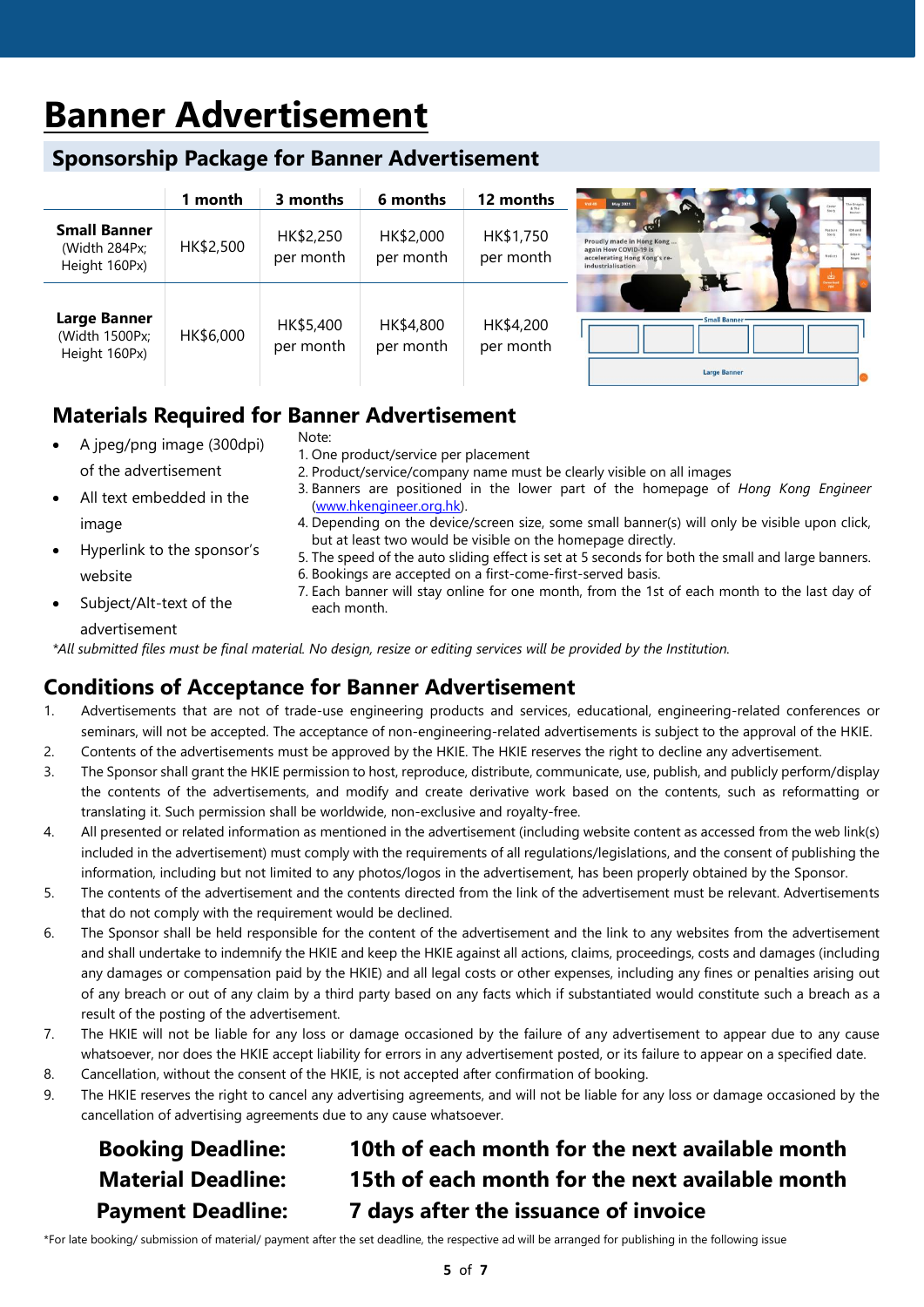# **Banner Advertisement**

## **Sponsorship Package for Banner Advertisement**

|                                                        | 1 month   | 3 months               | 6 months               | 12 months              | May 2021<br>Vol.49<br>Stery                                                                                                                  |
|--------------------------------------------------------|-----------|------------------------|------------------------|------------------------|----------------------------------------------------------------------------------------------------------------------------------------------|
| <b>Small Banner</b><br>(Width 284Px;<br>Height 160Px)  | HK\$2,500 | HK\$2,250<br>per month | HK\$2,000<br>per month | HK\$1,750<br>per month | Feature.<br>Stery<br>Proudly made in Hong Kong<br>again How COVID-19 is<br>Notices<br>accelerating Hong Kong's re-<br>industrialisation<br>H |
| <b>Large Banner</b><br>(Width 1500Px;<br>Height 160Px) | HK\$6,000 | HK\$5,400<br>per month | HK\$4,800<br>per month | HK\$4,200<br>per month | <b>Small Banner</b><br><b>Large Banner</b>                                                                                                   |

# **Materials Required for Banner Advertisement**

| $\bullet$ | A jpeg/png image (300dpi)  | Note:<br>1. One product/service per placement                                                                                                                    |
|-----------|----------------------------|------------------------------------------------------------------------------------------------------------------------------------------------------------------|
|           | of the advertisement       | 2. Product/service/company name must be clearly visible on all images                                                                                            |
| $\bullet$ | All text embedded in the   | 3. Banners are positioned in the lower part of the homepage of Hong Kong Engineer<br>(www.hkengineer.org.hk).                                                    |
|           | image                      | 4. Depending on the device/screen size, some small banner(s) will only be visible upon click,                                                                    |
| $\bullet$ | Hyperlink to the sponsor's | but at least two would be visible on the homepage directly.<br>5. The speed of the auto sliding effect is set at 5 seconds for both the small and large banners. |
|           | website                    | 6. Bookings are accepted on a first-come-first-served basis.                                                                                                     |
|           | Subject/Alt-text of the    | 7. Each banner will stay online for one month, from the 1st of each month to the last day of<br>each month.                                                      |

advertisement

*\*All submitted files must be final material. No design, resize or editing services will be provided by the Institution.*

## **Conditions of Acceptance for Banner Advertisement**

- 1. Advertisements that are not of trade-use engineering products and services, educational, engineering-related conferences or seminars, will not be accepted. The acceptance of non-engineering-related advertisements is subject to the approval of the HKIE.
- 2. Contents of the advertisements must be approved by the HKIE. The HKIE reserves the right to decline any advertisement.
- 3. The Sponsor shall grant the HKIE permission to host, reproduce, distribute, communicate, use, publish, and publicly perform/display the contents of the advertisements, and modify and create derivative work based on the contents, such as reformatting or translating it. Such permission shall be worldwide, non-exclusive and royalty-free.
- 4. All presented or related information as mentioned in the advertisement (including website content as accessed from the web link(s) included in the advertisement) must comply with the requirements of all regulations/legislations, and the consent of publishing the information, including but not limited to any photos/logos in the advertisement, has been properly obtained by the Sponsor.
- 5. The contents of the advertisement and the contents directed from the link of the advertisement must be relevant. Advertisements that do not comply with the requirement would be declined.
- 6. The Sponsor shall be held responsible for the content of the advertisement and the link to any websites from the advertisement and shall undertake to indemnify the HKIE and keep the HKIE against all actions, claims, proceedings, costs and damages (including any damages or compensation paid by the HKIE) and all legal costs or other expenses, including any fines or penalties arising out of any breach or out of any claim by a third party based on any facts which if substantiated would constitute such a breach as a result of the posting of the advertisement.
- 7. The HKIE will not be liable for any loss or damage occasioned by the failure of any advertisement to appear due to any cause whatsoever, nor does the HKIE accept liability for errors in any advertisement posted, or its failure to appear on a specified date.
- 8. Cancellation, without the consent of the HKIE, is not accepted after confirmation of booking.
- 9. The HKIE reserves the right to cancel any advertising agreements, and will not be liable for any loss or damage occasioned by the cancellation of advertising agreements due to any cause whatsoever.

# **Booking Deadline: 10th of each month for the next available month Material Deadline: 15th of each month for the next available month Payment Deadline: 7 days after the issuance of invoice**

\*For late booking/ submission of material/ payment after the set deadline, the respective ad will be arranged for publishing in the following issue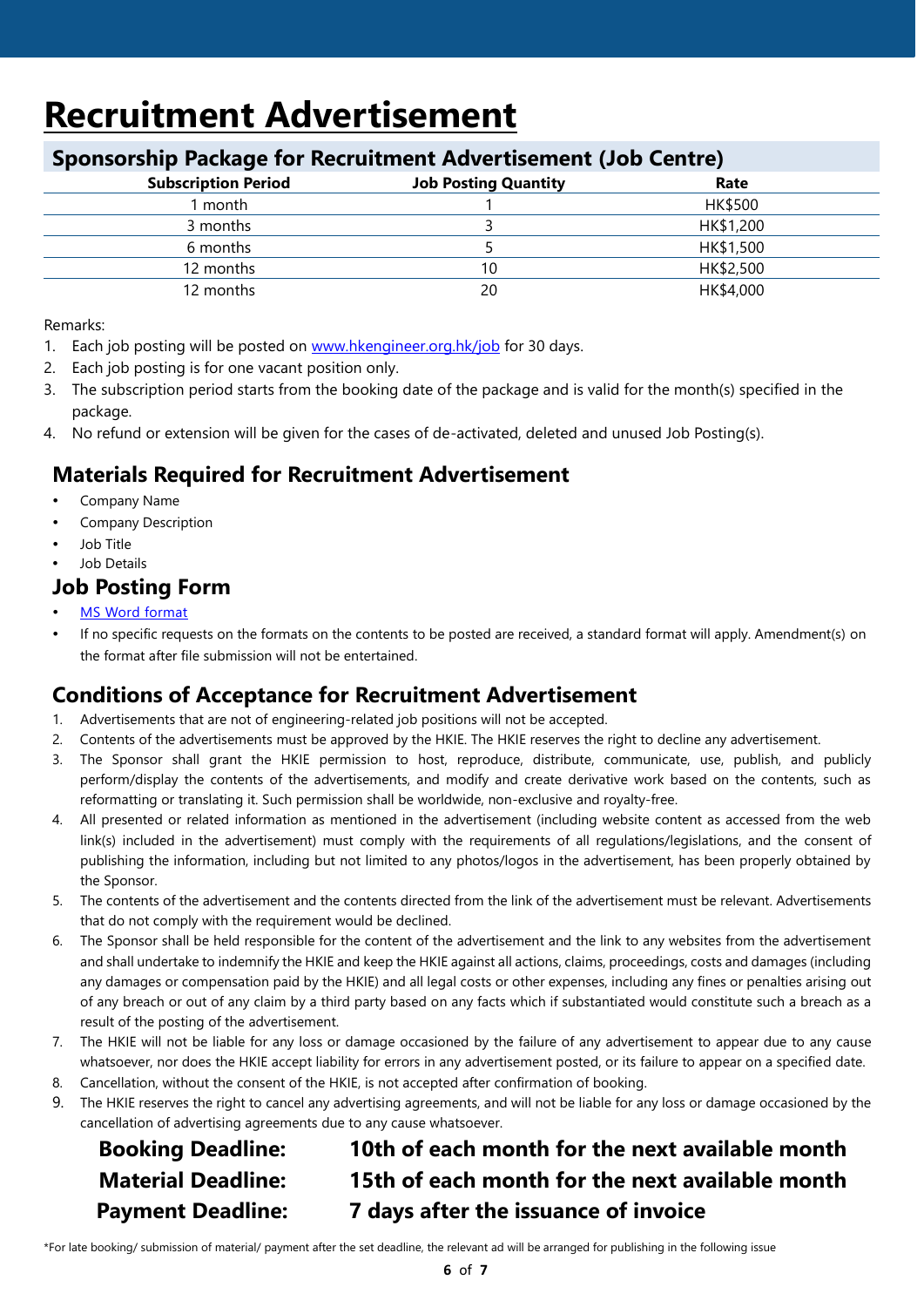# **Recruitment Advertisement**

### **Sponsorship Package for Recruitment Advertisement (Job Centre)**

| $\sim$                     |                             |           |
|----------------------------|-----------------------------|-----------|
| <b>Subscription Period</b> | <b>Job Posting Quantity</b> | Rate      |
| month                      |                             | HK\$500   |
| 3 months                   |                             | HK\$1,200 |
| 6 months                   |                             | HK\$1,500 |
| 12 months                  | 10                          | HK\$2,500 |
| 12 months                  | 20                          | HK\$4,000 |
|                            |                             |           |

Remarks:

- 1. Each job posting will be posted on [www.hkengineer.org.hk/job](http://www.hkengineer.org.hk/job) for 30 days.
- 2. Each job posting is for one vacant position only.
- 3. The subscription period starts from the booking date of the package and is valid for the month(s) specified in the package.
- 4. No refund or extension will be given for the cases of de-activated, deleted and unused Job Posting(s).

# **Materials Required for Recruitment Advertisement**

- Company Name
- Company Description
- Job Title
- Job Details

## **Job Posting Form**

- [MS Word format](http://www.hkengineer.org.hk/upload/page/7/self/610b7d35535fa.docx)
- If no specific requests on the formats on the contents to be posted are received, a standard format will apply. Amendment(s) on the format after file submission will not be entertained.

# **Conditions of Acceptance for Recruitment Advertisement**

- 1. Advertisements that are not of engineering-related job positions will not be accepted.
- 2. Contents of the advertisements must be approved by the HKIE. The HKIE reserves the right to decline any advertisement.
- 3. The Sponsor shall grant the HKIE permission to host, reproduce, distribute, communicate, use, publish, and publicly perform/display the contents of the advertisements, and modify and create derivative work based on the contents, such as reformatting or translating it. Such permission shall be worldwide, non-exclusive and royalty-free.
- 4. All presented or related information as mentioned in the advertisement (including website content as accessed from the web link(s) included in the advertisement) must comply with the requirements of all regulations/legislations, and the consent of publishing the information, including but not limited to any photos/logos in the advertisement, has been properly obtained by the Sponsor.
- 5. The contents of the advertisement and the contents directed from the link of the advertisement must be relevant. Advertisements that do not comply with the requirement would be declined.
- 6. The Sponsor shall be held responsible for the content of the advertisement and the link to any websites from the advertisement and shall undertake to indemnify the HKIE and keep the HKIE against all actions, claims, proceedings, costs and damages (including any damages or compensation paid by the HKIE) and all legal costs or other expenses, including any fines or penalties arising out of any breach or out of any claim by a third party based on any facts which if substantiated would constitute such a breach as a result of the posting of the advertisement.
- 7. The HKIE will not be liable for any loss or damage occasioned by the failure of any advertisement to appear due to any cause whatsoever, nor does the HKIE accept liability for errors in any advertisement posted, or its failure to appear on a specified date.
- 8. Cancellation, without the consent of the HKIE, is not accepted after confirmation of booking.
- 9. The HKIE reserves the right to cancel any advertising agreements, and will not be liable for any loss or damage occasioned by the cancellation of advertising agreements due to any cause whatsoever.

# **Booking Deadline: 10th of each month for the next available month Material Deadline: 15th of each month for the next available month Payment Deadline: 7 days after the issuance of invoice**

\*For late booking/ submission of material/ payment after the set deadline, the relevant ad will be arranged for publishing in the following issue